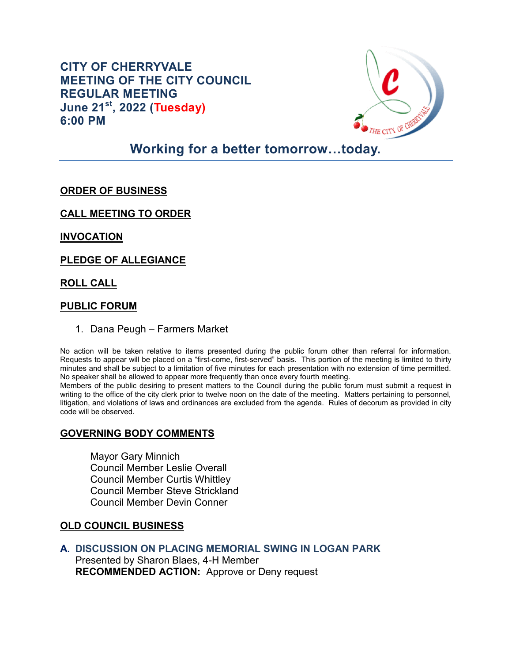**CITY OF CHERRYVALE MEETING OF THE CITY COUNCIL REGULAR MEETING June 21st, 2022 (Tuesday) 6:00 PM**



# **Working for a better tomorrow…today.**

## **ORDER OF BUSINESS**

**CALL MEETING TO ORDER** 

**INVOCATION** 

**PLEDGE OF ALLEGIANCE** 

#### **ROLL CALL**

#### **PUBLIC FORUM**

1. Dana Peugh – Farmers Market

No action will be taken relative to items presented during the public forum other than referral for information. Requests to appear will be placed on a "first-come, first-served" basis. This portion of the meeting is limited to thirty minutes and shall be subject to a limitation of five minutes for each presentation with no extension of time permitted. No speaker shall be allowed to appear more frequently than once every fourth meeting.

Members of the public desiring to present matters to the Council during the public forum must submit a request in writing to the office of the city clerk prior to twelve noon on the date of the meeting. Matters pertaining to personnel, litigation, and violations of laws and ordinances are excluded from the agenda. Rules of decorum as provided in city code will be observed.

### **GOVERNING BODY COMMENTS**

Mayor Gary Minnich Council Member Leslie Overall Council Member Curtis Whittley Council Member Steve Strickland Council Member Devin Conner

#### **OLD COUNCIL BUSINESS**

**A. DISCUSSION ON PLACING MEMORIAL SWING IN LOGAN PARK** Presented by Sharon Blaes, 4-H Member

**RECOMMENDED ACTION:** Approve or Deny request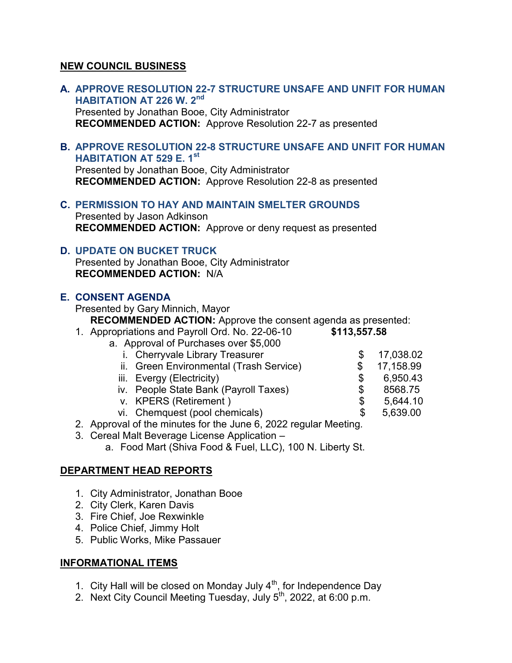## **NEW COUNCIL BUSINESS**

- **A. APPROVE RESOLUTION 22-7 STRUCTURE UNSAFE AND UNFIT FOR HUMAN HABITATION AT 226 W. 2nd** Presented by Jonathan Booe, City Administrator **RECOMMENDED ACTION:** Approve Resolution 22-7 as presented
- **B. APPROVE RESOLUTION 22-8 STRUCTURE UNSAFE AND UNFIT FOR HUMAN HABITATION AT 529 E. 1st**

Presented by Jonathan Booe, City Administrator **RECOMMENDED ACTION:** Approve Resolution 22-8 as presented

**C. PERMISSION TO HAY AND MAINTAIN SMELTER GROUNDS**

Presented by Jason Adkinson **RECOMMENDED ACTION:** Approve or deny request as presented

### **D. UPDATE ON BUCKET TRUCK**

Presented by Jonathan Booe, City Administrator **RECOMMENDED ACTION:** N/A

### **E. CONSENT AGENDA**

Presented by Gary Minnich, Mayor

**RECOMMENDED ACTION:** Approve the consent agenda as presented:

1. Appropriations and Payroll Ord. No. 22-06-10 **\$113,557.58** 

#### a. Approval of Purchases over \$5,000

- 
- i. Cherryvale Library Treasurer \$ 17,038.02<br>ii. Green Environmental (Trash Service) \$ 17,158.99 ii. Green Environmental (Trash Service)  $$ 17,158.99$ <br>iii. Evergy (Electricity)  $$ 6,950.43$
- 
- iii. Evergy (Electricity)<br>iv. People State Bank (Payroll Taxes) \$ 8568.75 iv. People State Bank (Payroll Taxes) \$ 8568.75<br>v. KPERS (Retirement ) \$ 5.644.10
- v. KPERS (Retirement ) \$ 5,644.10
- vi. Chemquest (pool chemicals) \$ 5,639.00

- 2. Approval of the minutes for the June 6, 2022 regular Meeting*.*
- 3. Cereal Malt Beverage License Application
	- a. Food Mart (Shiva Food & Fuel, LLC), 100 N. Liberty St.

### **DEPARTMENT HEAD REPORTS**

- 1. City Administrator, Jonathan Booe
- 2. City Clerk, Karen Davis
- 3. Fire Chief, Joe Rexwinkle
- 4. Police Chief, Jimmy Holt
- 5. Public Works, Mike Passauer

## **INFORMATIONAL ITEMS**

- 1. City Hall will be closed on Monday July  $4<sup>th</sup>$ , for Independence Day
- 2. Next City Council Meeting Tuesday, July  $5<sup>th</sup>$ , 2022, at 6:00 p.m.